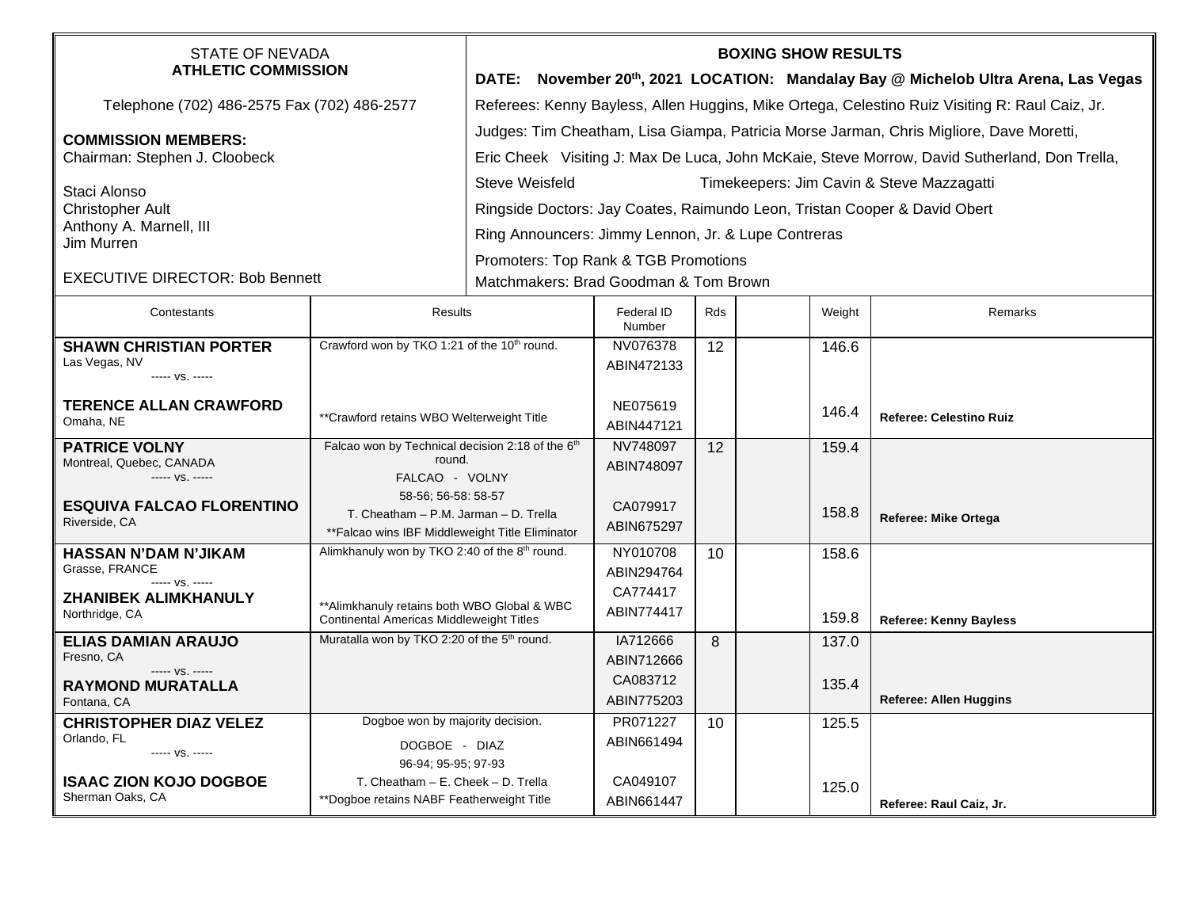| <b>STATE OF NEVADA</b><br><b>ATHLETIC COMMISSION</b>                |                                                                                                                  | <b>BOXING SHOW RESULTS</b><br>DATE: November 20th, 2021 LOCATION: Mandalay Bay @ Michelob Ultra Arena, Las Vegas                                                                        |                                                     |     |  |        |                                |  |  |
|---------------------------------------------------------------------|------------------------------------------------------------------------------------------------------------------|-----------------------------------------------------------------------------------------------------------------------------------------------------------------------------------------|-----------------------------------------------------|-----|--|--------|--------------------------------|--|--|
| Telephone (702) 486-2575 Fax (702) 486-2577                         |                                                                                                                  | Referees: Kenny Bayless, Allen Huggins, Mike Ortega, Celestino Ruiz Visiting R: Raul Caiz, Jr.                                                                                          |                                                     |     |  |        |                                |  |  |
| <b>COMMISSION MEMBERS:</b><br>Chairman: Stephen J. Cloobeck         |                                                                                                                  | Judges: Tim Cheatham, Lisa Giampa, Patricia Morse Jarman, Chris Migliore, Dave Moretti,<br>Eric Cheek Visiting J: Max De Luca, John McKaie, Steve Morrow, David Sutherland, Don Trella, |                                                     |     |  |        |                                |  |  |
| Staci Alonso<br><b>Christopher Ault</b>                             |                                                                                                                  | <b>Steve Weisfeld</b><br>Timekeepers: Jim Cavin & Steve Mazzagatti                                                                                                                      |                                                     |     |  |        |                                |  |  |
|                                                                     |                                                                                                                  | Ringside Doctors: Jay Coates, Raimundo Leon, Tristan Cooper & David Obert                                                                                                               |                                                     |     |  |        |                                |  |  |
| Anthony A. Marnell, III<br>Jim Murren                               |                                                                                                                  |                                                                                                                                                                                         | Ring Announcers: Jimmy Lennon, Jr. & Lupe Contreras |     |  |        |                                |  |  |
| <b>EXECUTIVE DIRECTOR: Bob Bennett</b>                              |                                                                                                                  | Promoters: Top Rank & TGB Promotions<br>Matchmakers: Brad Goodman & Tom Brown                                                                                                           |                                                     |     |  |        |                                |  |  |
| Contestants                                                         | Results                                                                                                          |                                                                                                                                                                                         | Federal ID<br>Number                                | Rds |  | Weight | Remarks                        |  |  |
| <b>SHAWN CHRISTIAN PORTER</b><br>Las Vegas, NV<br>----- VS. -----   | Crawford won by TKO 1:21 of the 10 <sup>th</sup> round.                                                          |                                                                                                                                                                                         | NV076378<br>ABIN472133                              | 12  |  | 146.6  |                                |  |  |
| <b>TERENCE ALLAN CRAWFORD</b><br>Omaha, NE                          | ** Crawford retains WBO Welterweight Title                                                                       |                                                                                                                                                                                         | NE075619<br>ABIN447121                              |     |  | 146.4  | <b>Referee: Celestino Ruiz</b> |  |  |
| <b>PATRICE VOLNY</b><br>Montreal, Quebec, CANADA<br>----- VS. ----- | Falcao won by Technical decision 2:18 of the 6 <sup>th</sup><br>round.<br>FALCAO - VOLNY                         |                                                                                                                                                                                         | NV748097<br>ABIN748097                              | 12  |  | 159.4  |                                |  |  |
| <b>ESQUIVA FALCAO FLORENTINO</b><br>Riverside, CA                   | 58-56; 56-58: 58-57<br>T. Cheatham - P.M. Jarman - D. Trella<br>** Falcao wins IBF Middleweight Title Eliminator |                                                                                                                                                                                         | CA079917<br>ABIN675297                              |     |  | 158.8  | Referee: Mike Ortega           |  |  |
| HASSAN N'DAM N'JIKAM                                                | Alimkhanuly won by TKO 2:40 of the 8 <sup>th</sup> round.                                                        |                                                                                                                                                                                         | NY010708                                            | 10  |  | 158.6  |                                |  |  |
| Grasse, FRANCE<br>$--- VS. ---$                                     |                                                                                                                  |                                                                                                                                                                                         | ABIN294764<br>CA774417                              |     |  |        |                                |  |  |
| <b>ZHANIBEK ALIMKHANULY</b><br>Northridge, CA                       | ** Alimkhanuly retains both WBO Global & WBC<br><b>Continental Americas Middleweight Titles</b>                  |                                                                                                                                                                                         | ABIN774417                                          |     |  | 159.8  | <b>Referee: Kenny Bayless</b>  |  |  |
| <b>ELIAS DAMIAN ARAUJO</b><br>Fresno, CA                            | Muratalla won by TKO 2:20 of the 5 <sup>th</sup> round.                                                          |                                                                                                                                                                                         | IA712666                                            | 8   |  | 137.0  |                                |  |  |
| ----- VS. -----                                                     |                                                                                                                  |                                                                                                                                                                                         | ABIN712666<br>CA083712                              |     |  |        |                                |  |  |
| <b>RAYMOND MURATALLA</b><br>Fontana, CA                             |                                                                                                                  |                                                                                                                                                                                         | ABIN775203                                          |     |  | 135.4  | <b>Referee: Allen Huggins</b>  |  |  |
| <b>CHRISTOPHER DIAZ VELEZ</b>                                       | Dogboe won by majority decision.                                                                                 |                                                                                                                                                                                         | PR071227                                            | 10  |  | 125.5  |                                |  |  |
| Orlando, FL<br>----- VS. -----                                      | DOGBOE - DIAZ                                                                                                    |                                                                                                                                                                                         | ABIN661494                                          |     |  |        |                                |  |  |
| <b>ISAAC ZION KOJO DOGBOE</b>                                       | 96-94; 95-95; 97-93<br>T. Cheatham - E. Cheek - D. Trella                                                        |                                                                                                                                                                                         | CA049107                                            |     |  |        |                                |  |  |
| Sherman Oaks, CA                                                    | **Dogboe retains NABF Featherweight Title                                                                        |                                                                                                                                                                                         | ABIN661447                                          |     |  | 125.0  | Referee: Raul Caiz, Jr.        |  |  |